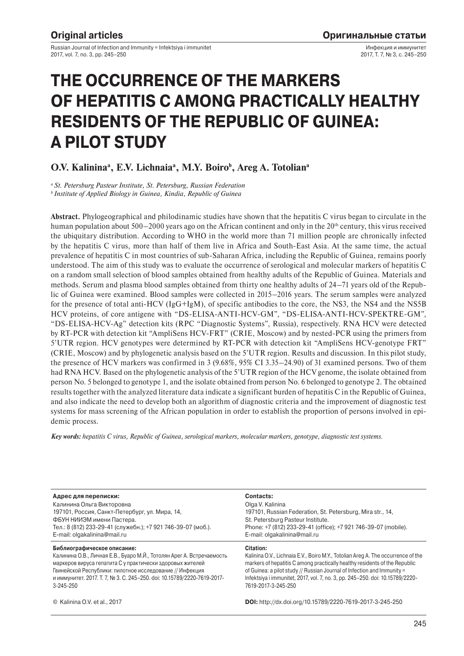Russian Journal of Infection and Immunity = Infektsiya i immunitet 2017, vol. 7, no. 3, pp. 245–250

Инфекция и иммунитет 2017, Т. 7, № 3, с. 245–250

# **THE OCCURRENCE OF THE MARKERS OF HEPATITIS C AMONG PRACTICALLY HEALTHY RESIDENTS OF THE REPUBLIC OF GUINEA: A PILOT STUDY**

# O.V. Kalinina<sup>a</sup>, E.V. Lichnaia<sup>a</sup>, M.Y. Boiro<sup>b</sup>, Areg A. Totolian<sup>a</sup>

*a St. Petersburg Pasteur Institute, St. Petersburg, Russian Federation b Institute of Applied Biology in Guinea, Kindia, Republic of Guinea*

**Abstract.** Phylogeographical and philodinamic studies have shown that the hepatitis C virus began to circulate in the human population about  $500-2000$  years ago on the African continent and only in the  $20<sup>th</sup>$  century, this virus received the ubiquitary distribution. According to WHO in the world more than 71 million people are chronically infected by the hepatitis C virus, more than half of them live in Africa and South-East Asia. At the same time, the actual prevalence of hepatitis C in most countries of sub-Saharan Africa, including the Republic of Guinea, remains poorly understood. The aim of this study was to evaluate the occurrence of serological and molecular markers of hepatitis C on a random small selection of blood samples obtained from healthy adults of the Republic of Guinea. Materials and methods. Serum and plasma blood samples obtained from thirty one healthy adults of 24–71 years old of the Republic of Guinea were examined. Blood samples were collected in 2015–2016 years. The serum samples were analyzed for the presence of total anti-HCV (IgG+IgM), of specific antibodies to the core, the NS3, the NS4 and the NS5B HCV proteins, of core antigene with "DS-ELISA-ANTI-HCV-GM", "DS-ELISA-ANTI-HCV-SPEKTRE-GM", "DS-ELISA-HCV-Ag" detection kits (RPC "Diagnostic Systems", Russia), respectively. RNA HCV were detected by RT-PCR with detection kit "AmpliSens HCV-FRT" (CRIE, Moscow) and by nested-PCR using the primers from 5'UTR region. HCV genotypes were determined by RT-PCR with detection kit "AmpliSens HCV-genotype FRT" (CRIE, Moscow) and by phylogenetic analysis based on the 5'UTR region. Results and discussion. In this pilot study, the presence of HCV markers was confirmed in 3 (9.68%, 95% CI 3.35–24.90) of 31 examined persons. Two of them had RNA HCV. Based on the phylogenetic analysis of the 5'UTR region of the HCV genome, the isolate obtained from person No. 5 belonged to genotype 1, and the isolate obtained from person No. 6 belonged to genotype 2. The obtained results together with the analyzed literature data indicate a significant burden of hepatitis C in the Republic of Guinea, and also indicate the need to develop both an algorithm of diagnostic criteria and the improvement of diagnostic test systems for mass screening of the African population in order to establish the proportion of persons involved in epidemic process.

*Key words: hepatitis C virus, Republic of Guinea, serological markers, molecular markers, genotype, diagnostic test systems.*

**Адрес для переписки:** Калинина Ольга Викторовна 197101, Россия, Санкт-Петербург, ул. Мира, 14, ФБУН НИИЭМ имени Пастера. Тел.: 8 (812) 233-29-41 (служебн.); +7 921 746-39-07 (моб.). E-mail: olgakalinina@mail.ru

#### **Библиографическое описание:**

Калинина О.В., Личная Е.В., Буаро М.Й., Тотолян Арег А. Встречаемость маркеров вируса гепатита С у практически здоровых жителей Гвинейской Республики: пилотное исследование // Инфекция и иммунитет. 2017. Т. 7, № 3. С. 245–250. doi: 10.15789/2220-7619-2017- 3-245-250

#### **Contacts:**

Olga V. Kalinina 197101, Russian Federation, St. Petersburg, Mira str., 14, St. Petersburg Pasteur Institute. Phone: +7 (812) 233-29-41 (office); +7 921 746-39-07 (mobile). E-mail: olgakalinina@mail.ru

#### **Citation:**

Kalinina O.V., Lichnaia E.V., Boiro M.Y., Totolian Areg A. The occurrence of the markers of hepatitis C among practically healthy residents of the Republic of Guinea: a pilot study // Russian Journal of Infection and Immunity = Infektsiya i immunitet, 2017, vol. 7, no. 3, pp. 245–250. doi: 10.15789/2220- 7619-2017-3-245-250

© Kalinina O.V. et al., 2017 **DOI:** http://dx.doi.org/10.15789/2220-7619-2017-3-245-250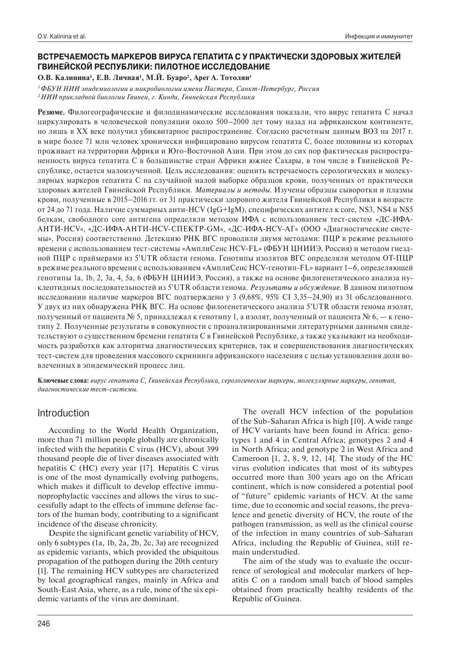## **ВСТРЕЧАЕМОСТЬ МАРКЕРОВ ВИРУСА ГЕПАТИТА С У ПРАКТИЧЕСКИ ЗДОРОВЫХ ЖИТЕЛЕЙ ГВИНЕЙСКОЙ РЕСПУБЛИКИ: ПИЛОТНОЕ ИССЛЕДОВАНИЕ**

**О.В. Калинина1 , Е.В. Личная1 , М.Й. Буаро2 , Арег А. Тотолян1**

*1 ФБУН НИИ эпидемиологии и микробиологии имени Пастера, Санкт-Петербург, Россия 2 НИИ прикладной биологии Гвинеи, г. Кинди, Гвинейская Республика*

**Резюме.** Филогеографические и филодинамические исследования показали, что вирус гепатита С начал циркулировать в человеческой популяции около 500–2000 лет тому назад на африканском континенте, но лишь в XX веке получил убиквитарное распространение. Согласно расчетным данным ВОЗ на 2017 г. в мире более 71 млн человек хронически инфицировано вирусом гепатита С, более половины из которых проживает на территории Африки и Юго-Восточной Азии. При этом до сих пор фактическая распространенность вируса гепатита С в большинстве стран Африки южнее Сахары, в том числе в Гвинейской Республике, остается малоизученной. Цель исследования: оценить встречаемость серологических и молекулярных маркеров гепатита С на случайной малой выборке образцов крови, полученных от практически здоровых жителей Гвинейской Республики. *Материалы и методы.* Изучены образцы сыворотки и плазмы крови, полученные в 2015–2016 гг. от 31 практически здорового жителя Гвинейской Республики в возрасте от 24 до 71 года. Наличие суммарных анти-HCV (IgG+IgM), специфических антител к core, NS3, NS4 и NS5 белкам, свободного сore антигена определяли методом ИФА с использованием тест-систем «ДС-ИФА-АНТИ-HCV», «ДС-ИФА-АНТИ-HCV-СПЕКТР-GM», «ДС-ИФА-HCV-АГ» (ООО «Диагностические системы», Россия) соответственно. Детекцию РНК ВГС проводили двумя методами: ПЦР в режиме реального времени с использованием тест-системы «АмплиСенс HCV-FL» (ФБУН ЦНИИЭ, Россия) и методом гнездной ПЦР с праймерами из 5'UTR области генома. Генотипы изолятов ВГС определяли методом ОТ-ПЦР в режиме реального времени с использованием «АмплиСенс HCV-генотип-FL» вариант 1–6, определяющей генотипы 1а, 1b, 2, 3а, 4, 5а, 6 (ФБУН ЦНИИЭ, Россия), а также на основе филогенетического анализа нуклеотидных последовательностей из 5'UTR области генома. *Результаты и обсуждение.* В данном пилотном исследовании наличие маркеров ВГС подтверждено у 3 (9,68%, 95% СI 3,35–24,90) из 31 обследованного. У двух из них обнаружена РНК ВГС. На основе филогенетического анализа 5'UTR области генома изолят, полученный от пациента № 5, принадлежал к генотипу 1, а изолят, полученный от пациента № 6, — к генотипу 2. Полученные результаты в совокупности с проанализированными литературными данными свидетельствуют о существенном бремени гепатита С в Гвинейской Республике, а также указывают на необходимость разработки как алгоритма диагностических критериев, так и совершенствования диагностических тест-систем для проведения массового скрининга африканского населения с целью установления доли вовлеченных в эпидемический процесс лиц.

**Ключевые слова:** *вирус гепатита С, Гвинейская Республика, серологические маркеры, молекулярные маркеры, генотип, диагностические тест-системы.*

## Introduction

According to the World Health Organization, more than 71 million people globally are chronically infected with the hepatitis C virus (HCV), about 399 thousand people die of liver diseases associated with hepatitis C (HC) every year [17]. Hepatitis C virus is one of the most dynamically evolving pathogens, which makes it difficult to develop effective immunoprophylactic vaccines and allows the virus to successfully adapt to the effects of immune defense factors of the human body, contributing to a significant incidence of the disease chronicity.

Despite the significant genetic variability of HCV, only 6 subtypes (1a, 1b, 2a, 2b, 2c, 3a) are recognized as epidemic variants, which provided the ubiquitous propagation of the pathogen during the 20th century [1]. The remaining HCV subtypes are characterized by local geographical ranges, mainly in Africa and South-East Asia, where, as a rule, none of the six epidemic variants of the virus are dominant.

The overall HCV infection of the population of the Sub-Saharan Africa is high [10]. A wide range of HCV variants have been found in Africa: genotypes 1 and 4 in Central Africa; genotypes 2 and 4 in North Africa; and genotype 2 in West Africa and Cameroon [1, 2, 8, 9, 12, 14]. The study of the HC virus evolution indicates that most of its subtypes occurred more than 300 years ago on the African continent, which is now considered a potential pool of "future" epidemic variants of HCV. At the same time, due to economic and social reasons, the prevalence and genetic diversity of HCV, the route of the pathogen transmission, as well as the clinical course of the infection in many countries of sub-Saharan Africa, including the Republic of Guinea, still remain understudied.

The aim of the study was to evaluate the occurrence of serological and molecular markers of hepatitis C on a random small batch of blood samples obtained from practically healthy residents of the Republic of Guinea.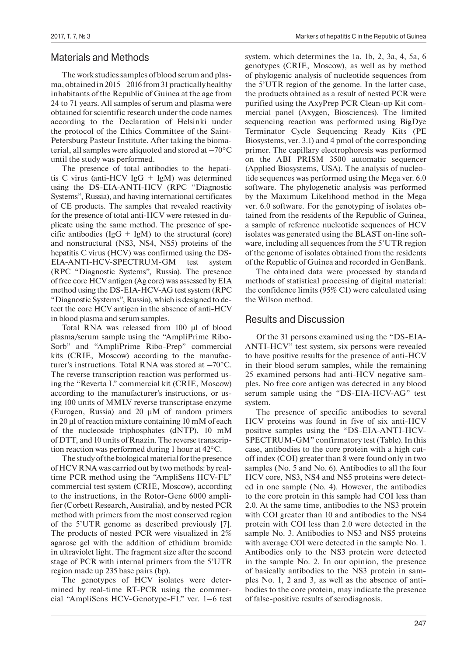## Materials and Methods

The work studies samples of blood serum and plasma, obtained in 2015–2016 from 31 practically healthy inhabitants of the Republic of Guinea at the age from 24 to 71 years. All samples of serum and plasma were obtained for scientific research under the code names according to the Declaration of Helsinki under the protocol of the Ethics Committee of the Saint-Petersburg Pasteur Institute. After taking the biomaterial, all samples were aliquoted and stored at –70°C until the study was performed.

The presence of total antibodies to the hepatitis C virus (anti-HCV IgG  $+$  IgM) was determined using the DS-EIA-ANTI-HCV (RPC "Diagnostic Systems", Russia), and having international certificates of CE products. The samples that revealed reactivity for the presence of total anti-HCV were retested in duplicate using the same method. The presence of specific antibodies ( $I \text{g}G + I \text{g}M$ ) to the structural (core) and nonstructural (NS3, NS4, NS5) proteins of the hepatitis C virus (HCV) was confirmed using the DS-EIA-ANTI-HCV-SPECTRUM-GM test system (RPC "Diagnostic Systems", Russia). The presence of free core HCV antigen (Ag core) was assessed by EIA method using the DS-EIA-HCV-AG test system (RPC "Diagnostic Systems", Russia), which is designed to detect the core HCV antigen in the absence of anti-HCV in blood plasma and serum samples.

Total RNA was released from 100 μl of blood plasma/serum sample using the "AmpliPrime Ribo-Sorb" and "AmpliPrime Ribo-Prep" commercial kits (CRIE, Moscow) according to the manufacturer's instructions. Total RNA was stored at –70°C. The reverse transcription reaction was performed using the "Reverta L" commercial kit (CRIE, Moscow) according to the manufacturer's instructions, or using 100 units of MMLV reverse transcriptase enzyme (Eurogen, Russia) and 20 μM of random primers in 20 μl of reaction mixture containing 10 mM of each of the nucleoside triphosphates (dNTP), 10 mM of DTT, and 10 units of Rnazin. The reverse transcription reaction was performed during 1 hour at 42°C.

The study of the biological material for the presence of HCV RNA was carried out by two methods: by realtime PCR method using the "AmpliSens HCV-FL" commercial test system (CRIE, Moscow), according to the instructions, in the Rotor-Gene 6000 amplifier (Corbett Research, Australia), and by nested PCR method with primers from the most conserved region of the 5'UTR genome as described previously [7]. The products of nested PCR were visualized in  $2\%$ agarose gel with the addition of ethidium bromide in ultraviolet light. The fragment size after the second stage of PCR with internal primers from the 5'UTR region made up 235 base pairs (bp).

The genotypes of HCV isolates were determined by real-time RT-PCR using the commercial "AmpliSens HCV-Genotype-FL" ver. 1–6 test system, which determines the 1a, 1b, 2, 3a, 4, 5a, 6 genotypes (CRIE, Moscow), as well as by method of phylogenic analysis of nucleotide sequences from the 5'UTR region of the genome. In the latter case, the products obtained as a result of nested PCR were purified using the AxyPrep PCR Clean-up Kit commercial panel (Axygen, Biosciences). The limited sequencing reaction was performed using BigDye Terminator Cycle Sequencing Ready Kits (PE Biosystems, ver. 3.1) and 4 pmol of the corresponding primer. The capillary electrophoresis was performed on the ABI PRISM 3500 automatic sequencer (Applied Biosystems, USA). The analysis of nucleotide sequences was performed using the Mega ver. 6.0 software. The phylogenetic analysis was performed by the Maximum Likelihood method in the Mega ver. 6.0 software. For the genotyping of isolates obtained from the residents of the Republic of Guinea, a sample of reference nucleotide sequences of HCV isolates was generated using the BLAST on-line software, including all sequences from the 5'UTR region of the genome of isolates obtained from the residents of the Republic of Guinea and recorded in GenBank.

The obtained data were processed by standard methods of statistical processing of digital material: the confidence limits (95% CI) were calculated using the Wilson method.

# Results and Discussion

Of the 31 persons examined using the "DS-EIA-ANTI-HCV" test system, six persons were revealed to have positive results for the presence of anti-HCV in their blood serum samples, while the remaining 25 examined persons had anti-HCV negative samples. No free core antigen was detected in any blood serum sample using the "DS-EIA-HCV-AG" test system.

The presence of specific antibodies to several HCV proteins was found in five of six anti-HCV positive samples using the "DS-EIA-ANTI-HCV-SPECTRUM-GM" confirmatory test (Table). In this case, antibodies to the core protein with a high cutoff index (COI) greater than 8 were found only in two samples (No. 5 and No. 6). Antibodies to all the four HCV core, NS3, NS4 and NS5 proteins were detected in one sample (No. 4). However, the antibodies to the core protein in this sample had COI less than 2.0. At the same time, antibodies to the NS3 protein with COI greater than 10 and antibodies to the NS4 protein with COI less than 2.0 were detected in the sample No. 3. Antibodies to NS3 and NS5 proteins with average COI were detected in the sample No. 1. Antibodies only to the NS3 protein were detected in the sample No. 2. In our opinion, the presence of basically antibodies to the NS3 protein in samples No. 1, 2 and 3, as well as the absence of antibodies to the core protein, may indicate the presence of false-positive results of serodiagnosis.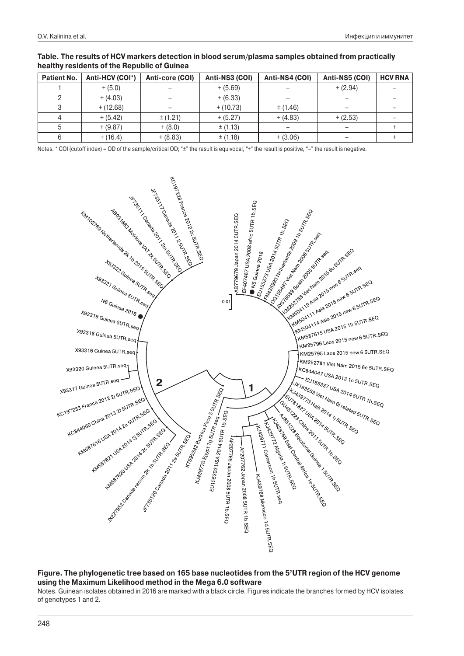| Patient No. | Anti-HCV (COI*) | Anti-core (COI) | Anti-NS3 (COI) | Anti-NS4 (COI) | Anti-NS5 (COI) | <b>HCV RNA</b> |
|-------------|-----------------|-----------------|----------------|----------------|----------------|----------------|
|             | $+ (5.0)$       |                 | $+ (5.69)$     |                | $+ (2.94)$     |                |
|             | $+ (4.03)$      |                 | $+ (6.33)$     |                |                |                |
|             | $+ (12.68)$     |                 | $+ (10.73)$    | ± (1.46)       |                |                |
|             | $+ (5.42)$      | ± (1.21)        | $+ (5.27)$     | $+ (4.83)$     | $+ (2.53)$     |                |
|             | $+ (9.87)$      | $+ (8.0)$       | ± (1.13)       |                |                |                |
|             | $+ (16.4)$      | $+ (8.83)$      | ±(1.18)        | $+(3.06)$      |                |                |

### **Table. The results of HCV markers detection in blood serum/plasma samples obtained from practically healthy residents of the Republic of Guinea**

Notes. \* COI (cutoff index) = OD of the sample/critical OD; "±" the result is equivocal, "+" the result is positive, "-" the result is negative.



## **Figure. The phylogenetic tree based on 165 base nucleotides from the 5'UTR region of the HCV genome using the Maximum Likelihood method in the Mega 6.0 software**

Notes. Guinean isolates obtained in 2016 are marked with a black circle. Figures indicate the branches formed by HCV isolates of genotypes 1 and 2.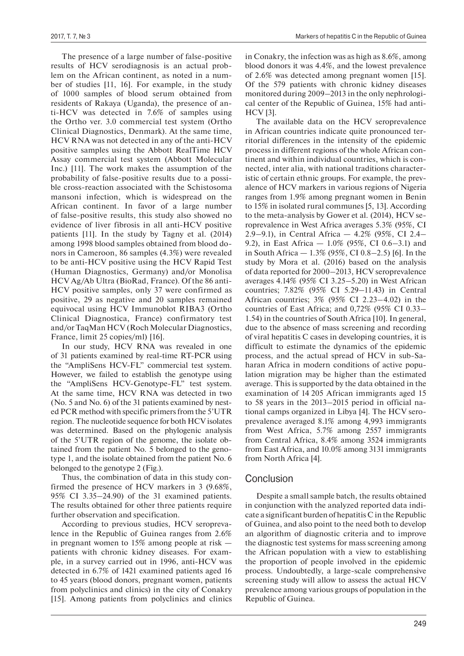The presence of a large number of false-positive results of HCV serodiagnosis is an actual problem on the African continent, as noted in a number of studies [11, 16]. For example, in the study of 1000 samples of blood serum obtained from residents of Rakaya (Uganda), the presence of anti-HCV was detected in 7.6% of samples using the Ortho ver. 3.0 commercial test system (Ortho Clinical Diagnostics, Denmark). At the same time, HCV RNA was not detected in any of the anti-HCV positive samples using the Abbott RealTime HCV Assay commercial test system (Abbott Molecular Inc.) [11]. The work makes the assumption of the probability of false-positive results due to a possible cross-reaction associated with the Schistosoma mansoni infection, which is widespread on the African continent. In favor of a large number of false-positive results, this study also showed no evidence of liver fibrosis in all anti-HCV positive patients [11]. In the study by Tagny et al. (2014) among 1998 blood samples obtained from blood donors in Cameroon, 86 samples (4.3%) were revealed to be anti-HCV positive using the HCV Rapid Test (Human Diagnostics, Germany) and/or Monolisa HCV Ag/Ab Ultra (BioRad, France). Of the 86 anti-HCV positive samples, only 37 were confirmed as positive, 29 as negative and 20 samples remained equivocal using HCV Immunoblot RIBA3 (Ortho Clinical Diagnostica, France) confirmatory test and/or TaqMan HCV (Roch Molecular Diagnostics, France, limit 25 copies/ml) [16].

In our study, HCV RNA was revealed in one of 31 patients examined by real-time RT-PCR using the "AmpliSens HCV-FL" commercial test system. However, we failed to establish the genotype using the "AmpliSens HCV-Genotype-FL" test system. At the same time, HCV RNA was detected in two (No. 5 and No. 6) of the 31 patients examined by nested PCR method with specific primers from the 5'UTR region. The nucleotide sequence for both HCV isolates was determined. Based on the phylogenic analysis of the 5'UTR region of the genome, the isolate obtained from the patient No. 5 belonged to the genotype 1, and the isolate obtained from the patient No. 6 belonged to the genotype 2 (Fig.).

Thus, the combination of data in this study confirmed the presence of HCV markers in 3 (9.68%, 95% CI 3.35–24.90) of the 31 examined patients. The results obtained for other three patients require further observation and specification.

According to previous studies, HCV seroprevalence in the Republic of Guinea ranges from 2.6% in pregnant women to 15% among people at risk patients with chronic kidney diseases. For example, in a survey carried out in 1996, anti-HCV was detected in 6.7% of 1421 examined patients aged 16 to 45 years (blood donors, pregnant women, patients from polyclinics and clinics) in the city of Conakry [15]. Among patients from polyclinics and clinics in Conakry, the infection was as high as 8.6%, among blood donors it was 4.4%, and the lowest prevalence of 2.6% was detected among pregnant women [15]. Of the 579 patients with chronic kidney diseases monitored during 2009–2013 in the only nephrological center of the Republic of Guinea, 15% had anti-HCV [3].

The available data on the HCV seroprevalence in African countries indicate quite pronounced territorial differences in the intensity of the epidemic process in different regions of the whole African continent and within individual countries, which is connected, inter alia, with national traditions characteristic of certain ethnic groups. For example, the prevalence of HCV markers in various regions of Nigeria ranges from 1.9% among pregnant women in Benin to 15% in isolated rural communes [5, 13]. According to the meta-analysis by Gower et al. (2014), HCV seroprevalence in West Africa averages 5.3% (95%, CI 2.9–9.1), in Central Africa — 4.2% (95%, CI 2.4– 9.2), in East Africa — 1.0% (95%, CI 0.6–3.1) and in South Africa — 1.3% (95%, CI 0.8–2.5) [6]. In the study by Mora et al. (2016) based on the analysis of data reported for 2000–2013, HCV seroprevalence averages 4.14% (95% CI 3.25–5.20) in West African countries; 7.82% (95% CI 5.29–11.43) in Central African countries; 3% (95% CI 2.23–4.02) in the countries of East Africa; and 0,72% (95% CI 0.33– 1.54) in the countries of South Africa [10]. In general, due to the absence of mass screening and recording of viral hepatitis C cases in developing countries, it is difficult to estimate the dynamics of the epidemic process, and the actual spread of HCV in sub-Saharan Africa in modern conditions of active population migration may be higher than the estimated average. This is supported by the data obtained in the examination of 14 205 African immigrants aged 15 to 58 years in the 2013–2015 period in official national camps organized in Libya [4]. The HCV seroprevalence averaged 8.1% among 4,993 immigrants from West Africa, 5.7% among 2557 immigrants from Central Africa, 8.4% among 3524 immigrants from East Africa, and 10.0% among 3131 immigrants from North Africa [4].

## **Conclusion**

Despite a small sample batch, the results obtained in conjunction with the analyzed reported data indicate a significant burden of hepatitis C in the Republic of Guinea, and also point to the need both to develop an algorithm of diagnostic criteria and to improve the diagnostic test systems for mass screening among the African population with a view to establishing the proportion of people involved in the epidemic process. Undoubtedly, a large-scale comprehensive screening study will allow to assess the actual HCV prevalence among various groups of population in the Republic of Guinea.